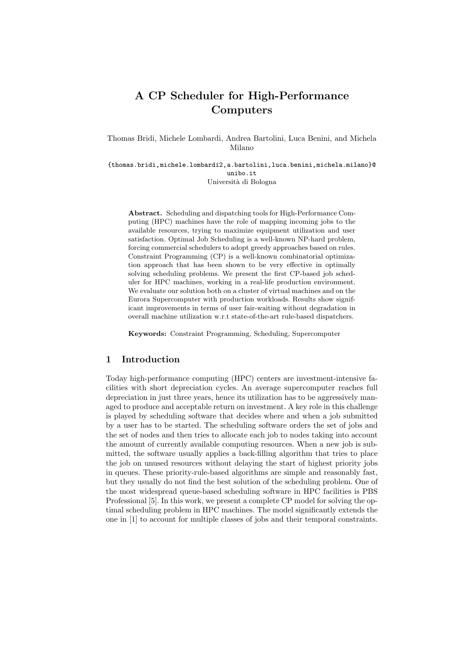# A CP Scheduler for High-Performance Computers

Thomas Bridi, Michele Lombardi, Andrea Bartolini, Luca Benini, and Michela Milano

{thomas.bridi,michele.lombardi2,a.bartolini,luca.benini,michela.milano}@ unibo.it Università di Bologna

Abstract. Scheduling and dispatching tools for High-Performance Computing (HPC) machines have the role of mapping incoming jobs to the available resources, trying to maximize equipment utilization and user satisfaction. Optimal Job Scheduling is a well-known NP-hard problem, forcing commercial schedulers to adopt greedy approaches based on rules. Constraint Programming (CP) is a well-known combinatorial optimization approach that has been shown to be very effective in optimally solving scheduling problems. We present the first CP-based job scheduler for HPC machines, working in a real-life production environment. We evaluate our solution both on a cluster of virtual machines and on the Eurora Supercomputer with production workloads. Results show significant improvements in terms of user fair-waiting without degradation in overall machine utilization w.r.t state-of-the-art rule-based dispatchers.

Keywords: Constraint Programming, Scheduling, Supercomputer

### 1 Introduction

Today high-performance computing (HPC) centers are investment-intensive facilities with short depreciation cycles. An average supercomputer reaches full depreciation in just three years, hence its utilization has to be aggressively managed to produce and acceptable return on investment. A key role in this challenge is played by scheduling software that decides where and when a job submitted by a user has to be started. The scheduling software orders the set of jobs and the set of nodes and then tries to allocate each job to nodes taking into account the amount of currently available computing resources. When a new job is submitted, the software usually applies a back-filling algorithm that tries to place the job on unused resources without delaying the start of highest priority jobs in queues. These priority-rule-based algorithms are simple and reasonably fast, but they usually do not find the best solution of the scheduling problem. One of the most widespread queue-based scheduling software in HPC facilities is PBS Professional [5]. In this work, we present a complete CP model for solving the optimal scheduling problem in HPC machines. The model significantly extends the one in [1] to account for multiple classes of jobs and their temporal constraints.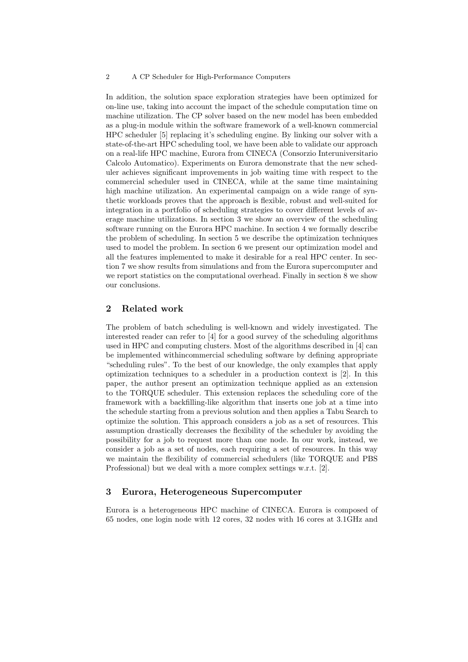#### 2 A CP Scheduler for High-Performance Computers

In addition, the solution space exploration strategies have been optimized for on-line use, taking into account the impact of the schedule computation time on machine utilization. The CP solver based on the new model has been embedded as a plug-in module within the software framework of a well-known commercial HPC scheduler [5] replacing it's scheduling engine. By linking our solver with a state-of-the-art HPC scheduling tool, we have been able to validate our approach on a real-life HPC machine, Eurora from CINECA (Consorzio Interuniversitario Calcolo Automatico). Experiments on Eurora demonstrate that the new scheduler achieves significant improvements in job waiting time with respect to the commercial scheduler used in CINECA, while at the same time maintaining high machine utilization. An experimental campaign on a wide range of synthetic workloads proves that the approach is flexible, robust and well-suited for integration in a portfolio of scheduling strategies to cover different levels of average machine utilizations. In section 3 we show an overview of the scheduling software running on the Eurora HPC machine. In section 4 we formally describe the problem of scheduling. In section 5 we describe the optimization techniques used to model the problem. In section 6 we present our optimization model and all the features implemented to make it desirable for a real HPC center. In section 7 we show results from simulations and from the Eurora supercomputer and we report statistics on the computational overhead. Finally in section 8 we show our conclusions.

# 2 Related work

The problem of batch scheduling is well-known and widely investigated. The interested reader can refer to [4] for a good survey of the scheduling algorithms used in HPC and computing clusters. Most of the algorithms described in [4] can be implemented withincommercial scheduling software by defining appropriate "scheduling rules". To the best of our knowledge, the only examples that apply optimization techniques to a scheduler in a production context is [2]. In this paper, the author present an optimization technique applied as an extension to the TORQUE scheduler. This extension replaces the scheduling core of the framework with a backfilling-like algorithm that inserts one job at a time into the schedule starting from a previous solution and then applies a Tabu Search to optimize the solution. This approach considers a job as a set of resources. This assumption drastically decreases the flexibility of the scheduler by avoiding the possibility for a job to request more than one node. In our work, instead, we consider a job as a set of nodes, each requiring a set of resources. In this way we maintain the flexibility of commercial schedulers (like TORQUE and PBS Professional) but we deal with a more complex settings w.r.t. [2].

#### 3 Eurora, Heterogeneous Supercomputer

Eurora is a heterogeneous HPC machine of CINECA. Eurora is composed of 65 nodes, one login node with 12 cores, 32 nodes with 16 cores at 3.1GHz and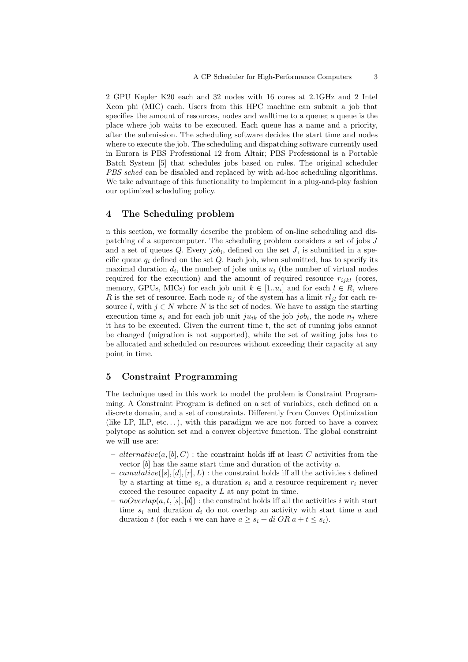2 GPU Kepler K20 each and 32 nodes with 16 cores at 2.1GHz and 2 Intel Xeon phi (MIC) each. Users from this HPC machine can submit a job that specifies the amount of resources, nodes and walltime to a queue; a queue is the place where job waits to be executed. Each queue has a name and a priority, after the submission. The scheduling software decides the start time and nodes where to execute the job. The scheduling and dispatching software currently used in Eurora is PBS Professional 12 from Altair; PBS Professional is a Portable Batch System [5] that schedules jobs based on rules. The original scheduler PBS sched can be disabled and replaced by with ad-hoc scheduling algorithms. We take advantage of this functionality to implement in a plug-and-play fashion our optimized scheduling policy.

### 4 The Scheduling problem

n this section, we formally describe the problem of on-line scheduling and dispatching of a supercomputer. The scheduling problem considers a set of jobs J and a set of queues  $Q$ . Every  $job_i$ , defined on the set  $J$ , is submitted in a specific queue  $q_i$  defined on the set Q. Each job, when submitted, has to specify its maximal duration  $d_i$ , the number of jobs units  $u_i$  (the number of virtual nodes required for the execution) and the amount of required resource  $r_{ijkl}$  (cores, memory, GPUs, MICs) for each job unit  $k \in [1..u_i]$  and for each  $l \in R$ , where R is the set of resource. Each node  $n_i$  of the system has a limit  $rl_{il}$  for each resource l, with  $j \in N$  where N is the set of nodes. We have to assign the starting execution time  $s_i$  and for each job unit  $ju_{ik}$  of the job  $job_i$ , the node  $n_j$  where it has to be executed. Given the current time t, the set of running jobs cannot be changed (migration is not supported), while the set of waiting jobs has to be allocated and scheduled on resources without exceeding their capacity at any point in time.

# 5 Constraint Programming

The technique used in this work to model the problem is Constraint Programming. A Constraint Program is defined on a set of variables, each defined on a discrete domain, and a set of constraints. Differently from Convex Optimization (like LP, ILP, etc...), with this paradigm we are not forced to have a convex polytope as solution set and a convex objective function. The global constraint we will use are:

- alternative(a, [b], C) : the constraint holds iff at least C activities from the vector  $[b]$  has the same start time and duration of the activity a.
- cumulative([s], [d], [r], L) : the constraint holds iff all the activities i defined by a starting at time  $s_i$ , a duration  $s_i$  and a resource requirement  $r_i$  never exceed the resource capacity L at any point in time.
- $-$  noOverlap(a, t, [s], [d]) : the constraint holds iff all the activities i with start time  $s_i$  and duration  $d_i$  do not overlap an activity with start time  $a$  and duration t (for each i we can have  $a \geq s_i + di \overline{OR} \ a + t \leq s_i$ ).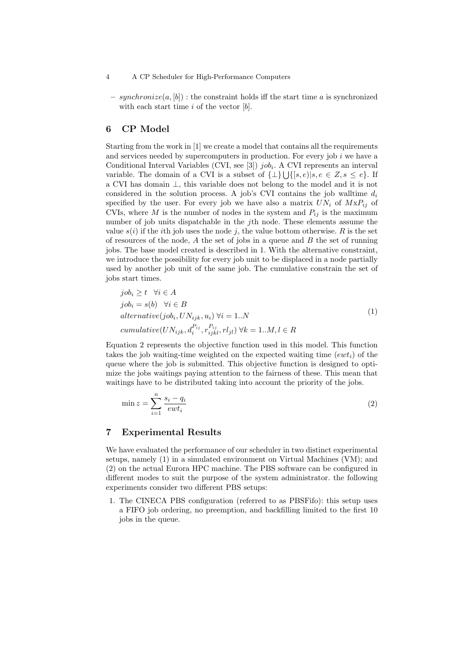#### 4 A CP Scheduler for High-Performance Computers

– synchronize $(a, [b])$ : the constraint holds iff the start time a is synchronized with each start time  $i$  of the vector  $[b]$ .

# 6 CP Model

Starting from the work in [1] we create a model that contains all the requirements and services needed by supercomputers in production. For every job  $i$  we have a Conditional Interval Variables (CVI, see [3])  $job_i$ . A CVI represents an interval variable. The domain of a CVI is a subset of  $\{\perp\}\bigcup \{[s, e)|s, e \in Z, s \leq e\}$ . If a CVI has domain ⊥, this variable does not belong to the model and it is not considered in the solution process. A job's CVI contains the job walltime  $d_i$ specified by the user. For every job we have also a matrix  $UN_i$  of  $MxP_{ij}$  of CVIs, where M is the number of nodes in the system and  $P_{ij}$  is the maximum number of job units dispatchable in the jth node. These elements assume the value  $s(i)$  if the *i*th job uses the node *j*, the value bottom otherwise. R is the set of resources of the node,  $A$  the set of jobs in a queue and  $B$  the set of running jobs. The base model created is described in 1. With the alternative constraint, we introduce the possibility for every job unit to be displaced in a node partially used by another job unit of the same job. The cumulative constrain the set of jobs start times.

$$
jobi \ge t \quad \forall i \in A
$$
  
\n
$$
jobi = s(b) \quad \forall i \in B
$$
  
\n
$$
alternative(jobi, UNijk, ui) \forall i = 1..N
$$
  
\n
$$
cumulative(UNijk, diPij, rijkPij, rljl) \forall k = 1..M, l \in R
$$
  
\n(1)

Equation 2 represents the objective function used in this model. This function takes the job waiting-time weighted on the expected waiting time  $(ewt<sub>i</sub>)$  of the queue where the job is submitted. This objective function is designed to optimize the jobs waitings paying attention to the fairness of these. This mean that waitings have to be distributed taking into account the priority of the jobs.

$$
\min z = \sum_{i=1}^{n} \frac{s_i - q_i}{ewt_i} \tag{2}
$$

### 7 Experimental Results

We have evaluated the performance of our scheduler in two distinct experimental setups, namely (1) in a simulated environment on Virtual Machines (VM); and (2) on the actual Eurora HPC machine. The PBS software can be configured in different modes to suit the purpose of the system administrator. the following experiments consider two different PBS setups:

1. The CINECA PBS configuration (referred to as PBSFifo): this setup uses a FIFO job ordering, no preemption, and backfilling limited to the first 10 jobs in the queue.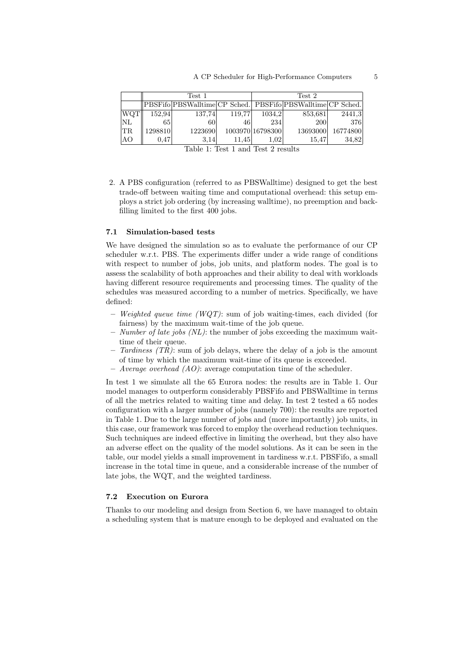| Test 1  |         |       | Test 2 |                                                |                                                                                                                    |
|---------|---------|-------|--------|------------------------------------------------|--------------------------------------------------------------------------------------------------------------------|
|         |         |       |        |                                                |                                                                                                                    |
| 152.94  |         |       |        |                                                | 2441,3                                                                                                             |
| 65      | 60      | 46    | 234    | <b>200</b>                                     | 376                                                                                                                |
| 1298810 | 1223690 |       |        |                                                | 16774800                                                                                                           |
| 0.47    | 3.14    | 11.45 | 1.02   | 15.47                                          | 34,82                                                                                                              |
|         |         |       | 137.74 | 119.77<br>$\pi$ 11 4 $\pi$ 14 1 $\pi$ 10 $\pi$ | PBSFifo PBSWalltime CP Sched.  PBSFifo PBSWalltime CP Sched. <br>1034,2<br>853,681<br>1003970 16798300<br>13693000 |

Table 1: Test 1 and Test 2 results

2. A PBS configuration (referred to as PBSWalltime) designed to get the best trade-off between waiting time and computational overhead: this setup employs a strict job ordering (by increasing walltime), no preemption and backfilling limited to the first 400 jobs.

#### 7.1 Simulation-based tests

We have designed the simulation so as to evaluate the performance of our CP scheduler w.r.t. PBS. The experiments differ under a wide range of conditions with respect to number of jobs, job units, and platform nodes. The goal is to assess the scalability of both approaches and their ability to deal with workloads having different resource requirements and processing times. The quality of the schedules was measured according to a number of metrics. Specifically, we have defined:

- Weighted queue time  $(WQT)$ : sum of job waiting-times, each divided (for fairness) by the maximum wait-time of the job queue.
- Number of late jobs  $(NL)$ : the number of jobs exceeding the maximum waittime of their queue.
- Tardiness (TR): sum of job delays, where the delay of a job is the amount of time by which the maximum wait-time of its queue is exceeded.
- Average overhead  $(AO)$ : average computation time of the scheduler.

In test 1 we simulate all the 65 Eurora nodes: the results are in Table 1. Our model manages to outperform considerably PBSFifo and PBSWalltime in terms of all the metrics related to waiting time and delay. In test 2 tested a 65 nodes configuration with a larger number of jobs (namely 700): the results are reported in Table 1. Due to the large number of jobs and (more importantly) job units, in this case, our framework was forced to employ the overhead reduction techniques. Such techniques are indeed effective in limiting the overhead, but they also have an adverse effect on the quality of the model solutions. As it can be seen in the table, our model yields a small improvement in tardiness w.r.t. PBSFifo, a small increase in the total time in queue, and a considerable increase of the number of late jobs, the WQT, and the weighted tardiness.

### 7.2 Execution on Eurora

Thanks to our modeling and design from Section 6, we have managed to obtain a scheduling system that is mature enough to be deployed and evaluated on the